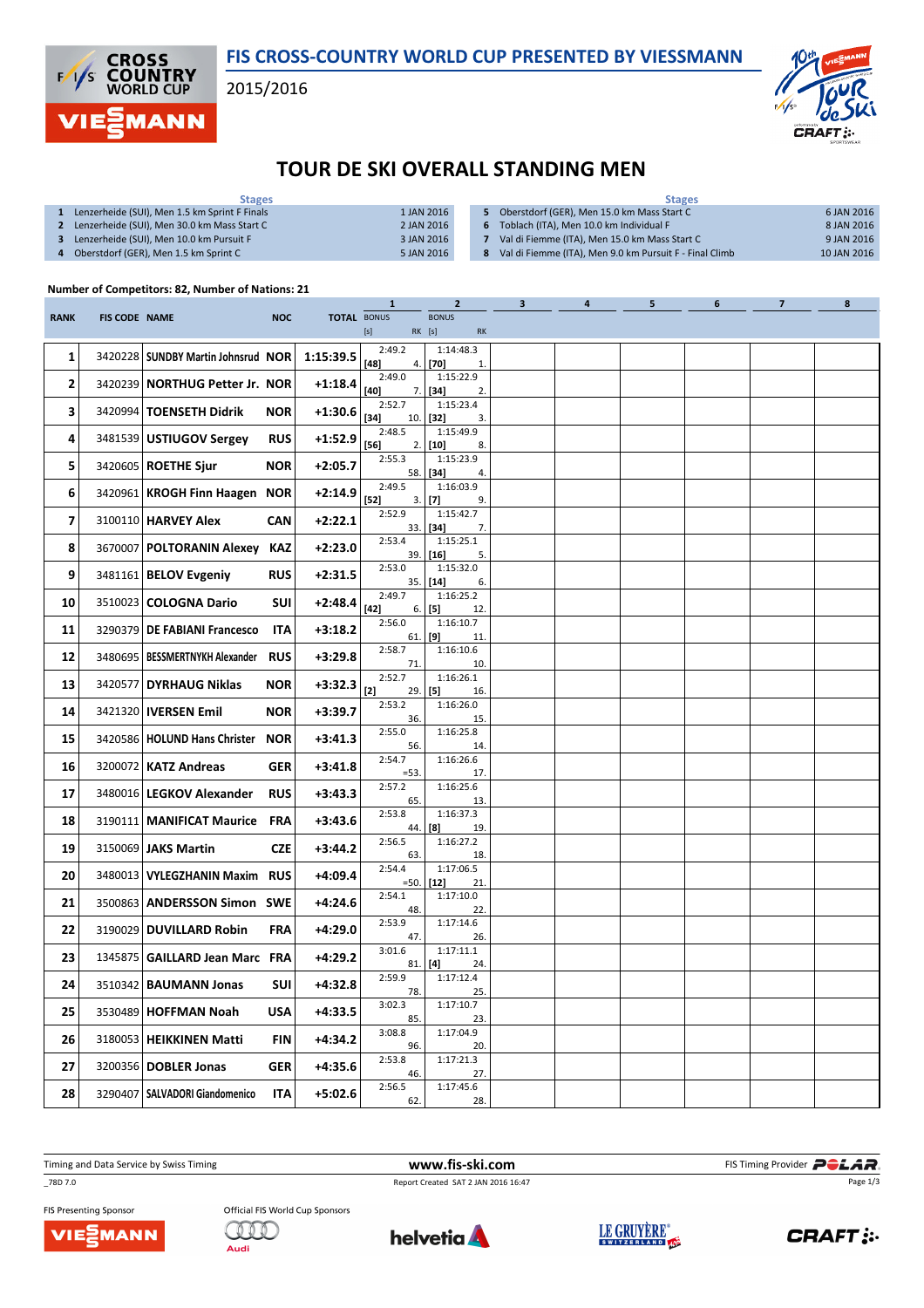

### FIS CROSS-COUNTRY WORLD CUP PRESENTED BY VIESSMANN

2015/2016



# TOUR DE SKI OVERALL STANDING MEN

| <b>Stages</b>                                 |            | <b>Stages</b>                                           |             |  |  |  |  |
|-----------------------------------------------|------------|---------------------------------------------------------|-------------|--|--|--|--|
| Lenzerheide (SUI), Men 1.5 km Sprint F Finals | 1 JAN 2016 | Oberstdorf (GER), Men 15.0 km Mass Start C              | 6 JAN 2016  |  |  |  |  |
| Lenzerheide (SUI), Men 30.0 km Mass Start C   | 2 JAN 2016 | Toblach (ITA), Men 10.0 km Individual F                 | 8 JAN 2016  |  |  |  |  |
| Lenzerheide (SUI), Men 10.0 km Pursuit F      | 3 JAN 2016 | Val di Fiemme (ITA), Men 15.0 km Mass Start C           | 9 JAN 2016  |  |  |  |  |
| Oberstdorf (GER), Men 1.5 km Sprint C         | 5 JAN 2016 | Val di Fiemme (ITA), Men 9.0 km Pursuit F - Final Climb | 10 JAN 2016 |  |  |  |  |
|                                               |            |                                                         |             |  |  |  |  |

#### Number of Competitors: 82, Number of Nations: 21

|             |                      |                                      |            |                    | $\mathbf{1}$     | $\overline{2}$                  | $\mathbf{3}$ | 4 | 5 | 6 | $\overline{7}$ | 8 |
|-------------|----------------------|--------------------------------------|------------|--------------------|------------------|---------------------------------|--------------|---|---|---|----------------|---|
| <b>RANK</b> | <b>FIS CODE NAME</b> |                                      | <b>NOC</b> | <b>TOTAL BONUS</b> | [s]              | <b>BONUS</b><br>$RK$ [s]<br>RK  |              |   |   |   |                |   |
| 1           |                      | 3420228   SUNDBY Martin Johnsrud NOR |            | 1:15:39.5          | 2:49.2           | 1:14:48.3                       |              |   |   |   |                |   |
|             |                      |                                      |            |                    | [48]<br>2:49.0   | $4.$ [70]<br>1.<br>1:15:22.9    |              |   |   |   |                |   |
| 2           |                      | 3420239 NORTHUG Petter Jr. NOR       |            | $+1:18.4$          | [40]             | $7.$ [34]<br>2.                 |              |   |   |   |                |   |
| 3           |                      | 3420994   TOENSETH Didrik            | <b>NOR</b> | $+1:30.6$          | 2:52.7<br>$[34]$ | 1:15:23.4<br>$10.$ [32]<br>3.   |              |   |   |   |                |   |
| 4           |                      | 3481539 USTIUGOV Sergey              | <b>RUS</b> | $+1:52.9$          | 2:48.5<br>$[56]$ | 1:15:49.9<br>$2.$ [10]<br>8.    |              |   |   |   |                |   |
| 5           |                      | 3420605   ROETHE Sjur                | <b>NOR</b> | $+2:05.7$          | 2:55.3           | 1:15:23.9                       |              |   |   |   |                |   |
| 6           |                      |                                      |            | $+2:14.9$          | 2:49.5           | 58. [34]<br>4.<br>1:16:03.9     |              |   |   |   |                |   |
|             |                      | 3420961   KROGH Finn Haagen NOR      |            |                    | $[52]$<br>2:52.9 | $3.$ [7]<br>9.<br>1:15:42.7     |              |   |   |   |                |   |
| 7           |                      | 3100110   HARVEY Alex                | <b>CAN</b> | $+2:22.1$          |                  | $33.$ [34]<br>7.                |              |   |   |   |                |   |
| 8           |                      | 3670007 POLTORANIN Alexey KAZ        |            | $+2:23.0$          | 2:53.4           | 1:15:25.1<br>$39.$ [16]<br>5.   |              |   |   |   |                |   |
| 9           |                      | 3481161   <b>BELOV Evgeniy</b>       | <b>RUS</b> | $+2:31.5$          | 2:53.0           | 1:15:32.0<br>$35.$ [14]<br>6.   |              |   |   |   |                |   |
| 10          |                      | 3510023   COLOGNA Dario              | SUI        | $+2:48.4$          | 2:49.7<br>[42]   | 1:16:25.2                       |              |   |   |   |                |   |
| 11          |                      | 3290379   DE FABIANI Francesco       | <b>ITA</b> | +3:18.2            | 2:56.0           | 6.   [5]<br>12.<br>1:16:10.7    |              |   |   |   |                |   |
|             |                      |                                      |            |                    | 2:58.7           | $61.$ [9]<br>11.<br>1:16:10.6   |              |   |   |   |                |   |
| 12          |                      | 3480695   BESSMERTNYKH Alexander RUS |            | $+3:29.8$          | 71.<br>2:52.7    | 10.<br>1:16:26.1                |              |   |   |   |                |   |
| 13          |                      | 3420577   DYRHAUG Niklas             | <b>NOR</b> | $+3:32.3$          | $[2]$            | $29.$ [5]<br>16.                |              |   |   |   |                |   |
| 14          |                      | 3421320   IVERSEN Emil               | <b>NOR</b> | +3:39.7            | 2:53.2<br>36.    | 1:16:26.0<br>15.                |              |   |   |   |                |   |
| 15          |                      | 3420586   HOLUND Hans Christer NOR   |            | +3:41.3            | 2:55.0<br>56.    | 1:16:25.8<br>14.                |              |   |   |   |                |   |
| 16          |                      | 3200072   KATZ Andreas               | GER        | +3:41.8            | 2:54.7           | 1:16:26.6                       |              |   |   |   |                |   |
| 17          |                      | 3480016   LEGKOV Alexander           | <b>RUS</b> | $+3:43.3$          | $=53.$<br>2:57.2 | 17.<br>1:16:25.6                |              |   |   |   |                |   |
|             |                      |                                      |            |                    | 65.<br>2:53.8    | 13.<br>1:16:37.3                |              |   |   |   |                |   |
| 18          |                      | 3190111   MANIFICAT Maurice FRA      |            | +3:43.6            | 44.<br>2:56.5    | 19.<br>$^{[8]}$<br>1:16:27.2    |              |   |   |   |                |   |
| 19          |                      | 3150069 JAKS Martin                  | <b>CZE</b> | $+3:44.2$          | 63.              | 18.                             |              |   |   |   |                |   |
| 20          |                      | 3480013   VYLEGZHANIN Maxim RUS      |            | +4:09.4            | 2:54.4           | 1:17:06.5<br>$=50.$ [12]<br>21. |              |   |   |   |                |   |
| 21          |                      | 3500863   ANDERSSON Simon SWE        |            | $+4:24.6$          | 2:54.1<br>48.    | 1:17:10.0<br>22.                |              |   |   |   |                |   |
| 22          |                      | 3190029 DUVILLARD Robin              | <b>FRA</b> | $+4:29.0$          | 2:53.9<br>47.    | 1:17:14.6                       |              |   |   |   |                |   |
| 23          |                      | 1345875 GAILLARD Jean Marc FRA       |            | +4:29.2            | 3:01.6           | 26.<br>1:17:11.1                |              |   |   |   |                |   |
|             |                      |                                      |            |                    | 81.<br>2:59.9    | [4]<br>24.<br>1:17:12.4         |              |   |   |   |                |   |
| 24          |                      | 3510342   <b>BAUMANN Jonas</b>       | SUI        | $+4:32.8$          | 78.<br>3:02.3    | 25.<br>1:17:10.7                |              |   |   |   |                |   |
| 25          |                      | 3530489   HOFFMAN Noah               | <b>USA</b> | $+4:33.5$          | 85.              | 23.                             |              |   |   |   |                |   |
| 26          |                      | 3180053   HEIKKINEN Matti            | <b>FIN</b> | +4:34.2            | 3:08.8<br>96.    | 1:17:04.9<br>20.                |              |   |   |   |                |   |
| 27          |                      | 3200356 DOBLER Jonas                 | <b>GER</b> | $+4:35.6$          | 2:53.8<br>46.    | 1:17:21.3<br>27.                |              |   |   |   |                |   |
| 28          |                      | 3290407   SALVADORI Giandomenico     | <b>ITA</b> | +5:02.6            | 2:56.5           | 1:17:45.6                       |              |   |   |   |                |   |
|             |                      |                                      |            |                    | 62.              | 28.                             |              |   |   |   |                |   |

\_78D 7.0 Report Created SAT 2 JAN 2016 16:47

FIS Presenting Sponsor VIEZMANN







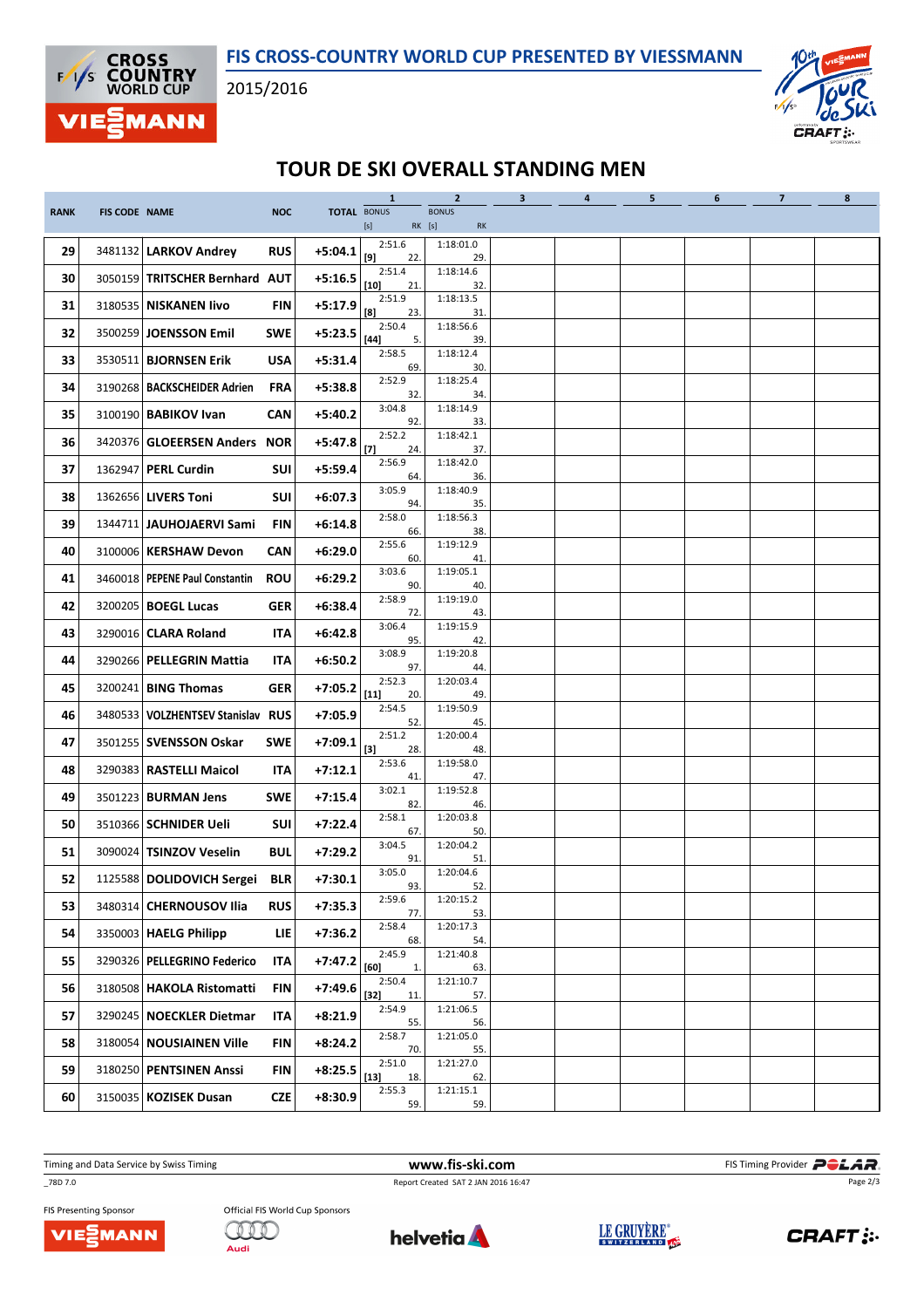



# TOUR DE SKI OVERALL STANDING MEN

|             |                      |                                     |            |                    | $\mathbf{1}$            | $\overline{2}$               | 3 <sup>7</sup> | $\overline{4}$ | 5 | 6 | 7 <sup>7</sup> | 8 |
|-------------|----------------------|-------------------------------------|------------|--------------------|-------------------------|------------------------------|----------------|----------------|---|---|----------------|---|
| <b>RANK</b> | <b>FIS CODE NAME</b> |                                     | <b>NOC</b> | <b>TOTAL BONUS</b> | [s]                     | <b>BONUS</b><br>RK [s]<br>RK |                |                |   |   |                |   |
| 29          |                      | 3481132   LARKOV Andrey             | <b>RUS</b> | $+5:04.1$          | 2:51.6                  | 1:18:01.0                    |                |                |   |   |                |   |
|             |                      |                                     |            |                    | [9]<br>22.<br>2:51.4    | 29.<br>1:18:14.6             |                |                |   |   |                |   |
| 30          |                      | 3050159 TRITSCHER Bernhard AUT      |            | $+5:16.5$          | $[10]$<br>21            | 32.                          |                |                |   |   |                |   |
| 31          |                      | 3180535   NISKANEN livo             | FIN        | $+5:17.9$          | 2:51.9<br>[8]<br>23.    | 1:18:13.5<br>31              |                |                |   |   |                |   |
| 32          |                      | 3500259   <b>JOENSSON Emil</b>      | <b>SWE</b> | $+5:23.5$          | 2:50.4<br>$[44]$<br>5.  | 1:18:56.6<br>39.             |                |                |   |   |                |   |
| 33          |                      | 3530511 BJORNSEN Erik               | <b>USA</b> | $+5:31.4$          | 2:58.5<br>69.           | 1:18:12.4<br>30.             |                |                |   |   |                |   |
| 34          |                      | 3190268   BACKSCHEIDER Adrien       | <b>FRA</b> | $+5:38.8$          | 2:52.9<br>32.           | 1:18:25.4<br>34.             |                |                |   |   |                |   |
| 35          |                      | 3100190   BABIKOV Ivan              | <b>CAN</b> | $+5:40.2$          | 3:04.8<br>92.           | 1:18:14.9<br>33.             |                |                |   |   |                |   |
| 36          |                      | 3420376 GLOEERSEN Anders NOR        |            | $+5:47.8$          | 2:52.2<br>$[7]$         | 1:18:42.1                    |                |                |   |   |                |   |
| 37          |                      | 1362947   PERL Curdin               | SUI        | $+5:59.4$          | 24.<br>2:56.9           | 37.<br>1:18:42.0             |                |                |   |   |                |   |
| 38          |                      | 1362656   LIVERS Toni               | SUI        | $+6:07.3$          | 64.<br>3:05.9           | 36.<br>1:18:40.9             |                |                |   |   |                |   |
| 39          |                      | 1344711   JAUHOJAERVI Sami          | <b>FIN</b> | $+6:14.8$          | 94.<br>2:58.0           | 35.<br>1:18:56.3             |                |                |   |   |                |   |
| 40          |                      | 3100006   KERSHAW Devon             | CAN        | $+6:29.0$          | 66.<br>2:55.6           | 38.<br>1:19:12.9             |                |                |   |   |                |   |
| 41          |                      | 3460018   PEPENE Paul Constantin    | <b>ROU</b> | $+6:29.2$          | 60.<br>3:03.6           | 41.<br>1:19:05.1             |                |                |   |   |                |   |
| 42          |                      | 3200205   <b>BOEGL Lucas</b>        | <b>GER</b> | $+6:38.4$          | 90.<br>2:58.9           | 40.<br>1:19:19.0             |                |                |   |   |                |   |
| 43          |                      | 3290016 CLARA Roland                | ITA        | $+6:42.8$          | 72.<br>3:06.4           | 43.<br>1:19:15.9             |                |                |   |   |                |   |
| 44          |                      | 3290266   PELLEGRIN Mattia          | <b>ITA</b> | $+6:50.2$          | 95.<br>3:08.9           | 42.<br>1:19:20.8             |                |                |   |   |                |   |
|             |                      |                                     |            |                    | 97.<br>2:52.3           | 44.<br>1:20:03.4             |                |                |   |   |                |   |
| 45          |                      | 3200241   <b>BING Thomas</b>        | GER        | $+7:05.2$          | $[11]$<br>20.<br>2:54.5 | 49.<br>1:19:50.9             |                |                |   |   |                |   |
| 46          |                      | 3480533   VOLZHENTSEV Stanislav RUS |            | $+7:05.9$          | 52.<br>2:51.2           | 45.<br>1:20:00.4             |                |                |   |   |                |   |
| 47          |                      | 3501255   SVENSSON Oskar            | <b>SWE</b> | $+7:09.1$          | $[3]$<br>28.<br>2:53.6  | 48.<br>1:19:58.0             |                |                |   |   |                |   |
| 48          |                      | 3290383   RASTELLI Maicol           | ITA        | $+7:12.1$          | 41.                     | 47.                          |                |                |   |   |                |   |
| 49          |                      | 3501223   <b>BURMAN Jens</b>        | <b>SWE</b> | $+7:15.4$          | 3:02.1<br>82.           | 1:19:52.8<br>46.             |                |                |   |   |                |   |
| 50          |                      | 3510366   SCHNIDER Ueli             | SUI        | $+7:22.4$          | 2:58.1<br>67.           | 1:20:03.8<br>50.             |                |                |   |   |                |   |
| 51          |                      | 3090024   TSINZOV Veselin           | <b>BUL</b> | $+7:29.2$          | 3:04.5<br>91            | 1:20:04.2<br>51.             |                |                |   |   |                |   |
| 52          |                      | 1125588 DOLIDOVICH Sergei BLR       |            | $+7:30.1$          | 3:05.0<br>93.           | 1:20:04.6<br>52.             |                |                |   |   |                |   |
| 53          |                      | 3480314 CHERNOUSOV Ilia             | <b>RUS</b> | $+7:35.3$          | 2:59.6<br>77.           | 1:20:15.2<br>53.             |                |                |   |   |                |   |
| 54          |                      | 3350003   HAELG Philipp             | LIE        | $+7:36.2$          | 2:58.4<br>68.           | 1:20:17.3<br>54.             |                |                |   |   |                |   |
| 55          |                      | 3290326   PELLEGRINO Federico       | ITA        | $+7:47.2$          | 2:45.9<br>[60]<br>1.    | 1:21:40.8<br>63.             |                |                |   |   |                |   |
| 56          |                      | 3180508 HAKOLA Ristomatti           | <b>FIN</b> | $+7:49.6$          | 2:50.4<br>$[32]$<br>11. | 1:21:10.7<br>57.             |                |                |   |   |                |   |
| 57          |                      | 3290245 NOECKLER Dietmar            | ITA        | $+8:21.9$          | 2:54.9<br>55.           | 1:21:06.5<br>56.             |                |                |   |   |                |   |
| 58          |                      | 3180054 NOUSIAINEN Ville            | FIN        | $+8:24.2$          | 2:58.7                  | 1:21:05.0                    |                |                |   |   |                |   |
| 59          |                      | 3180250 PENTSINEN Anssi             | FIN        | $+8:25.5$          | 70.<br>2:51.0<br>$[13]$ | 55.<br>1:21:27.0             |                |                |   |   |                |   |
| 60          |                      | 3150035   KOZISEK Dusan             | <b>CZE</b> | $+8:30.9$          | 18.<br>2:55.3           | 62.<br>1:21:15.1             |                |                |   |   |                |   |
|             |                      |                                     |            |                    | 59.                     | 59.                          |                |                |   |   |                |   |

\_78D 7.0 Report Created SAT 2 JAN 2016 16:47

Timing and Data Service by Swiss Timing **WWW.fis-ski.com WWW.fis-Ski.com** FIS Timing Provider **PCLAR**. Page 2/3

FIS Presenting Sponsor VIEZMANN